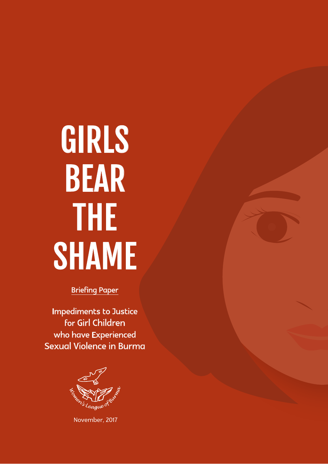# Girls **BEAR** the **SHAME**

Briefing Paper

Impediments to Justice for Girl Children who have Experienced Sexual Violence in Burma



November, 2017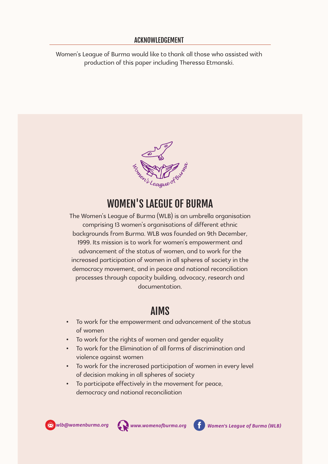#### Acknowledgement

Women's League of Burma would like to thank all those who assisted with production of this paper including Theressa Etmanski.



# WOMEN'S LAEGUE OF BURMA

The Women's League of Burma (WLB) is an umbrella organisation comprising 13 women's organisations of different ethnic backgrounds from Burma. WLB was founded on 9th December, 1999. Its mission is to work for women's empowerment and advancement of the status of women, and to work for the increased participation of women in all spheres of society in the democracy movement, and in peace and national reconciliation processes through capacity building, advocacy, research and documentation.

# AIMS

- • To work for the empowerment and advancement of the status of women
- • To work for the rights of women and gender equality
- • To work for the Elimination of all forms of discrimination and violence against women
- • To work for the increrased participation of women in every level of decision making in all spheres of society
- • To participate effectively in the movement for peace, democracy and national reconciliation







*x* wlb@womenburma.org *k* www.womenofburma.org *withermagneus League of Burma (WLB)*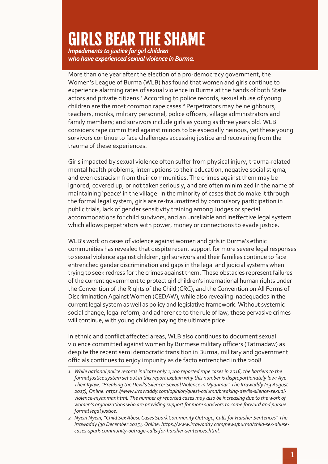# Girls Bear the Shame

*Impediments to justice for girl children who have experienced sexual violence in Burma.*

More than one year after the election of a pro-democracy government, the Women's League of Burma (WLB) has found that women and girls continue to experience alarming rates of sexual violence in Burma at the hands of both State actors and private citizens.<sup>1</sup> According to police records, sexual abuse of young children are the most common rape cases.<sup>2</sup> Perpetrators may be neighbours, teachers, monks, military personnel, police officers, village administrators and family members; and survivors include girls as young as three years old. WLB considers rape committed against minors to be especially heinous, yet these young survivors continue to face challenges accessing justice and recovering from the trauma of these experiences.

Girls impacted by sexual violence often suffer from physical injury, trauma-related mental health problems, interruptions to their education, negative social stigma, and even ostracism from their communities. The crimes against them may be ignored, covered up, or not taken seriously, and are often minimized in the name of maintaining 'peace' in the village. In the minority of cases that do make it through the formal legal system, girls are re-traumatized by compulsory participation in public trials, lack of gender sensitivity training among Judges or special accommodations for child survivors, and an unreliable and ineffective legal system which allows perpetrators with power, money or connections to evade justice.

WLB's work on cases of violence against women and girls in Burma's ethnic communities has revealed that despite recent support for more severe legal responses to sexual violence against children, girl survivors and their families continue to face entrenched gender discrimination and gaps in the legal and judicial systems when trying to seek redress for the crimes against them. These obstacles represent failures of the current government to protect girl children's international human rights under the Convention of the Rights of the Child (CRC), and the Convention on All Forms of Discrimination Against Women (CEDAW), while also revealing inadequacies in the current legal system as well as policy and legislative framework. Without systemic social change, legal reform, and adherence to the rule of law, these pervasive crimes will continue, with young children paying the ultimate price.

In ethnic and conflict affected areas, WLB also continues to document sexual violence committed against women by Burmese military officers (Tatmadaw) as despite the recent semi democratic transition in Burma, military and government officials continues to enjoy impunity as de facto entrenched in the 2008

*<sup>1</sup> While national police records indicate only 1,100 reported rape cases in 2016, the barriers to the formal justice system set out in this report explain why this number is disproportionately low: Aye Their Kyaw, "Breaking the Devil's Silence: Sexual Violence in Myanmar" The Irrawaddy (19 August 2017), Online: https://www.irrawaddy.com/opinion/guest-column/breaking-devils-silence-sexualviolence-myanmar.html. The number of reported cases may also be increasing due to the work of women's organizations who are providing support for more survivors to come forward and pursue formal legal justice.*

*<sup>2</sup> Nyein Nyein, "Child Sex Abuse Cases Spark Community Outrage, Calls for Harsher Sentences" The Irrawaddy (30 December 2015), Online: https://www.irrawaddy.com/news/burma/child-sex-abusecases-spark-community-outrage-calls-for-harsher-sentences.html.*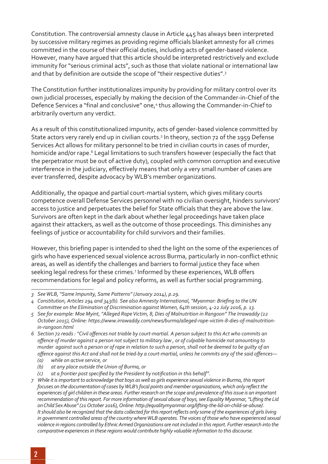Constitution. The controversial amnesty clause in Article 445 has always been interpreted by successive military regimes as providing regime officials blanket amnesty for all crimes committed in the course of their official duties, including acts of gender-based violence. However, many have argued that this article should be interpreted restrictively and exclude immunity for "serious criminal acts", such as those that violate national or international law and that by definition are outside the scope of "their respective duties".3

The Constitution further institutionalizes impunity by providing for military control over its own judicial processes, especially by making the decision of the Commander-in-Chief of the Defence Services a "final and conclusive" one,<sup>4</sup> thus allowing the Commander-in-Chief to arbitrarily overturn any verdict.

As a result of this constitutionalized impunity, acts of gender-based violence committed by State actors very rarely end up in civilian courts.<sup>5</sup> In theory, section 72 of the 1959 Defense Services Act allows for military personnel to be tried in civilian courts in cases of murder, homicide and/or rape.<sup>6</sup> Legal limitations to such transfers however (especially the fact that the perpetrator must be out of active duty), coupled with common corruption and executive interference in the judiciary, effectively means that only a very small number of cases are ever transferred, despite advocacy by WLB's member organizations.

Additionally, the opaque and partial court-martial system, which gives military courts competence overall Defense Services personnel with no civilian oversight, hinders survivors' access to justice and perpetuates the belief for State officials that they are above the law. Survivors are often kept in the dark about whether legal proceedings have taken place against their attackers, as well as the outcome of those proceedings. This diminishes any feelings of justice or accountability for child survivors and their families.

However, this briefing paper is intended to shed the light on the some of the experiences of girls who have experienced sexual violence across Burma, particularly in non-conflict ethnic areas, as well as identify the challenges and barriers to formal justice they face when seeking legal redress for these crimes.<sup>7</sup> Informed by these experiences, WLB offers recommendations for legal and policy reforms, as well as further social programming.

*(a) while on active service, or*

 *(c) at a frontier post specified by the President by notification in this behalf".*

*<sup>3</sup> See WLB, "Same Impunity, Same Patterns" (January 2014), p.29.*

*<sup>4</sup> Constitution, Articles 294 and 343(b). See also Amnesty International, "Myanmar: Briefing to theUN Committee on the Elimination of Discrimination against Women, 64th session, 4-22 July 2016, p. 13.*

*<sup>5</sup> See for example: Moe Myint, "Alleged Rape Victim, 8, Dies of Malnutrition in Rangoon" The Irrawaddy (22 October 2015), Online: https://www.irrawaddy.com/news/burma/alleged-rape-victim-8-dies-of-malnutritionin-rangoon.html*

<sup>6</sup> Section 72 reads : "Civil offences not triable by court-martial. A person subject to this Act who commits an offence of murder against a person not subject to military law, or of culpable homicide not amounting to *murder against such a person or of rape in relation to such a person, shall not be deemed to be guilty of an*  offence against this Act and shall not be tried-by a court-martial, unless he commits any of the said offences-

 *<sup>(</sup>b) at any place outside theUnion of Burma, or*

*<sup>7</sup> While it is important to acknowledge that boys as well as girls experience sexual violence in Burma, this report focuses on the documentation of cases byWLB'sfocal points and member organizations, which only reflectthe experiences of girl children in these areas. Further research on the scope and prevalence of this issue is an important recommendation of this report. For more information of sexual abuse of boys, see Equality Myanmar, "Lifting the Lid on Child Sex Abuse" (21 October 2016), Online: http://equalitymyanmar.org/lifting-the-lid-on-child-se-abuse/. It should also be recognized that the data collected for this report reflects only some of the experiences of girls living* in government controlled areas of the country where WLB operates. The voices of those who have experienced sexual *violence in regions controlled by Ethnic Armed Organizations are not included in this report. Further research into the comparative experiences in these regions would contribute highly valuable information to this discourse.*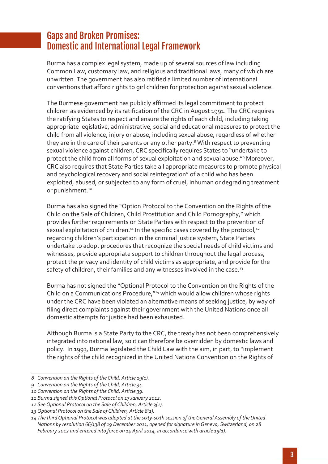# Gaps and Broken Promises: Domestic and International Legal Framework

Burma has a complex legal system, made up of several sources of law including Common Law, customary law, and religious and traditional laws, many of which are unwritten. The government has also ratified a limited number of international conventions that afford rights to girl children for protection against sexual violence.

The Burmese government has publicly affirmed its legal commitment to protect children as evidenced by its ratification of the CRC in August 1991. The CRC requires the ratifying States to respect and ensure the rights of each child, including taking appropriate legislative, administrative, social and educational measures to protect the child from all violence, injury or abuse, including sexual abuse, regardless of whether they are in the care of their parents or any other party.<sup>8</sup> With respect to preventing sexual violence against children, CRC specifically requires States to "undertake to protect the child from all forms of sexual exploitation and sexual abuse."<sup>9</sup> Moreover, CRC also requires that State Parties take all appropriate measures to promote physical and psychological recovery and social reintegration" of a child who has been exploited, abused, or subjected to any form of cruel, inhuman or degrading treatment or punishment.<sup>10</sup>

Burma has also signed the "Option Protocol to the Convention on the Rights of the Child on the Sale of Children, Child Prostitution and Child Pornography," which provides further requirements on State Parties with respect to the prevention of sexual exploitation of children.<sup>11</sup> In the specific cases covered by the protocol,<sup>12</sup> regarding children's participation in the criminal justice system, State Parties undertake to adopt procedures that recognize the special needs of child victims and witnesses, provide appropriate support to children throughout the legal process, protect the privacy and identity of child victims as appropriate, and provide for the safety of children, their families and any witnesses involved in the case.<sup>13</sup>

Burma has not signed the "Optional Protocol to the Convention on the Rights of the Child on a Communications Procedure, "<sup>14</sup> which would allow children whose rights under the CRC have been violated an alternative means of seeking justice, by way of filing direct complaints against their government with the United Nations once all domestic attempts for justice had been exhausted.

Although Burma is a State Party to the CRC, the treaty has not been comprehensively integrated into national law, so it can therefore be overridden by domestic laws and policy. In 1993, Burma legislated the Child Law with the aim, in part, to "implement the rights of the child recognized in the United Nations Convention on the Rights of

*<sup>8</sup> Convention on the Rights of the Child, Article 19(1).*

*<sup>9</sup> Convention on the Rights of the Child, Article 34.*

*<sup>10</sup> Convention on the Rights of the Child, Article 39.*

*<sup>11</sup> Burma signed this Optional Protocol on 17 January 2012.*

*<sup>12</sup> See Optional Protocol on the Sale of Children, Article 3(1).*

*<sup>13</sup> Optional Protocol on the Sale of Children, Article 8(1).*

*<sup>14</sup> The thirdOptional Protocol was adopted at the sixty-sixth session of theGeneral Assembly of theUnited Nations by resolution 66/138 of 19 December 2011, opened for signature in Geneva, Switzerland, on 28 February 2012 and entered into force on 14 April 2014, in accordance with article 19(1).*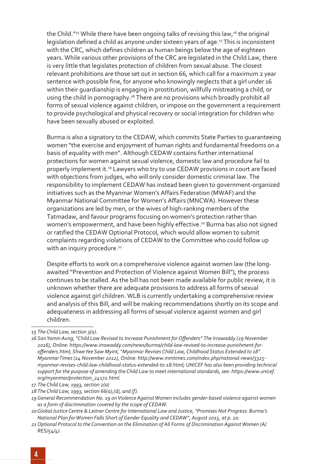the Child."<sup>15</sup> While there have been ongoing talks of revising this law,<sup>16</sup> the original legislation defined a child as anyone under sixteen years of age.<sup>17</sup> This is inconsistent with the CRC, which defines children as human beings below the age of eighteen years. While various other provisions of the CRC are legislated in the Child Law, there is very little that legislates protection of children from sexual abuse. The closest relevant prohibitions are those set out in section 66, which call for a maximum 2 year sentence with possible fine, for anyone who knowingly neglects that a girl under 16 within their guardianship is engaging in prostitution, willfully mistreating a child, or using the child in pornography.<sup>18</sup> There are no provisions which broadly prohibit all forms of sexual violence against children, or impose on the government a requirement to provide psychological and physical recovery or social integration for children who have been sexually abused or exploited.

Burma is also a signatory to the CEDAW, which commits State Parties to guaranteeing women "the exercise and enjoyment of human rights and fundamental freedoms on a basis of equality with men". Although CEDAW contains further international protections for women against sexual violence, domestic law and procedure fail to properly implement it.19 Lawyers who try to use CEDAW provisions in court are faced with objections from judges, who will only consider domestic criminal law. The responsibility to implement CEDAW has instead been given to government-organized initiatives such as the Myanmar Women's Affairs Federation (MWAF) and the Myanmar National Committee for Women's Affairs (MNCWA). However these organizations are led by men, or the wives of high-ranking members of the Tatmadaw, and favour programs focusing on women's protection rather than women's empowerment, and have been highly effective.<sup>20</sup> Burma has also not signed or ratified the CEDAW Optional Protocol, which would allow women to submit complaints regarding violations of CEDAW to the Committee who could follow up with an inquiry procedure.<sup>21</sup>

Despite efforts to work on a comprehensive violence against women law (the longawaited "Prevention and Protection of Violence against Women Bill"), the process continues to be stalled. As the bill has not been made available for public review, it is unknown whether there are adequate provisions to address all forms of sexual violence against girl children. WLB is currently undertaking a comprehensive review and analysis of this Bill, and will be making recommendations shortly on its scope and adequateness in addressing all forms of sexual violence against women and girl children.

*<sup>15</sup> The Child Law, section 3(a).*

*<sup>16</sup> SanYamin Aung, "Child Law Revised to Increase Punishment forOffenders" The Irrawaddy (29 November 2016), Online: https://www.irrawaddy.com/news/burma/child-law-revised-to-increase-punishment-foroffenders.html; ShweYee Saw Myint, "Myanmar Revises Child Law, Childhood Status Extended to 18" Myanmar Times (24 November 2012), Online: http://www.mmtimes.com/index.php/national-news/3325 myanmar-revises-child-law-childhood-status-extended-to-18.html; UNICEF has also been providing technical support for the purpose of amending the Child Law to meet international standards, see: https://www.unicef. org/myanmar/protection\_24172.html.*

*<sup>17</sup> The Child Law, 1993, section 2(a)*

*<sup>18</sup> The Child Law, 1993, section 66(a),(d), and (f).*

*<sup>19</sup> General Recommendation No. 19 on Violence Against Women includes gender-based violence against women as a form of discrimination covered by the scope of CEDAW.*

*<sup>20</sup>Global Justice Centre & Leitner Centre for International Law and Justice, "Promises Not Progress: Burma's National Plan for Women Falls Short of Gender Equality and CEDAW", August 2015, at p. 20.*

*<sup>21</sup> Optional Protocol to the Convention on the Elimination of All Forms of Discrimination Against Women (A/ RES/54/4).*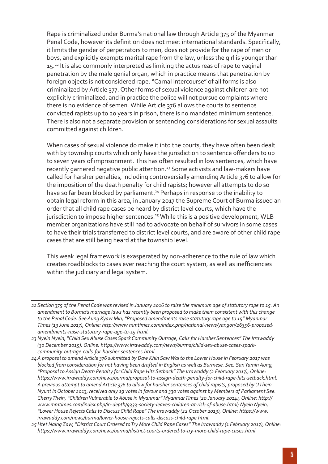Rape is criminalized under Burma's national law through Article 375 of the Myanmar Penal Code, however its definition does not meet international standards. Specifically, it limits the gender of perpetrators to men, does not provide for the rape of men or boys, and explicitly exempts marital rape from the law, unless the girl is younger than 15.<sup>22</sup> It is also commonly interpreted as limiting the actus reas of rape to vaginal penetration by the male genial organ, which in practice means that penetration by foreign objects is not considered rape. "Carnal intercourse" of all forms is also criminalized by Article 377. Other forms of sexual violence against children are not explicitly criminalized, and in practice the police will not pursue complaints where there is no evidence of semen. While Article 376 allows the courts to sentence convicted rapists up to 20 years in prison, there is no mandated minimum sentence. There is also not a separate provision or sentencing considerations for sexual assaults committed against children.

When cases of sexual violence do make it into the courts, they have often been dealt with by township courts which only have the jurisdiction to sentence offenders to up to seven years of imprisonment. This has often resulted in low sentences, which have recently garnered negative public attention.<sup>23</sup> Some activists and law-makers have called for harsher penalties, including controversially amending Article 376 to allow for the imposition of the death penalty for child rapists; however all attempts to do so have so far been blocked by parliament.<sup>24</sup> Perhaps in response to the inability to obtain legal reform in this area, in January 2017 the Supreme Court of Burma issued an order that all child rape cases be heard by district level courts, which have the jurisdiction to impose higher sentences.<sup>25</sup> While this is a positive development, WLB member organizations have still had to advocate on behalf of survivors in some cases to have their trials transferred to district level courts, and are aware of other child rape cases that are still being heard at the township level.

This weak legal framework is exasperated by non-adherence to the rule of law which creates roadblocks to cases ever reaching the court system, as well as inefficiencies within the judiciary and legal system.

*<sup>22</sup>Section 375 of the Penal Code was revised in January 2016 to raise the minimum age of statutory rape to 15. An amendment to Burma's marriage laws has recently been proposed to make them consistent with this change to the Penal Code. See Aung Kyaw Min, "Proposed amendments raise statutory rape age to 15" Myanmar Times (13 June 2017), Online: http://www.mmtimes.com/index.php/national-news/yangon/26356-proposedamendments-raise-statutory-rape-age-to-15.html.*

*<sup>23</sup> Nyein Nyein, "Child Sex Abuse Cases Spark Community Outrage, Calls for Harsher Sentences" The Irrawaddy (30 December 2015), Online: https://www.irrawaddy.com/news/burma/child-sex-abuse-cases-sparkcommunity-outrage-calls-for-harsher-sentences.html.*

*<sup>24</sup>A proposal to amend Article 376 submitted by Daw Khin Saw Wai to the Lower House in February 2017 was blocked from consideration for not having been drafted in English as well as Burmese. See: San Yamin Aung, "Proposal to Assign Death Penalty for Child Rape Hits Setback" The Irrawaddy (2 February 2017), Online: https://www.irrawaddy.com/news/burma/proposal-to-assign-death-penalty-for-child-rape-hits-setback.html.*  A previous attempt to amend Article 376 to allow for harsher sentences of child rapists, proposed by UThein *Nyunt in October 2013, received only 19 votes in favour and 330 votes against by Members of Parliament See: Cherry Thein, "Children Vulnerable to Abuse in Myanmar" Myanmar Times (20 January 2014), Online: http:// www.mmtimes.com/index.php/in-depth/9333-society-leaves-children-at-risk-of-abuse.html; Nyein Nyein, "Lower House Rejects Calls to Discuss Child Rape" The Irrawaddy (22 October 2013), Online: https://www. irrawaddy.com/news/burma/lower-house-rejects-calls-discuss-child-rape.html.*

*<sup>25</sup>Htet Naing Zaw, "District Court Ordered to Try More Child Rape Cases" The Irrawaddy (1 February 2017), Online: https://www.irrawaddy.com/news/burma/district-courts-ordered-to-try-more-child-rape-cases.html.*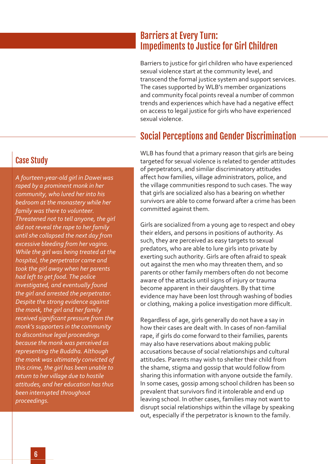# Barriers at Every Turn: Impediments to Justice for Girl Children

Barriers to justice for girl children who have experienced sexual violence start at the community level, and transcend the formal justice system and support services. The cases supported by WLB's member organizations and community focal points reveal a number of common trends and experiences which have had a negative effect on access to legal justice for girls who have experienced sexual violence.

# Social Perceptions and Gender Discrimination

WLB has found that a primary reason that girls are being targeted for sexual violence is related to gender attitudes of perpetrators, and similar discriminatory attitudes affect how families, village administrators, police, and the village communities respond to such cases. The way that girls are socialized also has a bearing on whether survivors are able to come forward after a crime has been committed against them.

Girls are socialized from a young age to respect and obey their elders, and persons in positions of authority. As such, they are perceived as easy targets to sexual predators, who are able to lure girls into private by exerting such authority. Girls are often afraid to speak out against the men who may threaten them, and so parents or other family members often do not become aware of the attacks until signs of injury or trauma become apparent in their daughters. By that time evidence may have been lost through washing of bodies or clothing, making a police investigation more difficult.

Regardless of age, girls generally do not have a say in how their cases are dealt with. In cases of non-familial rape, if girls do come forward to their families, parents may also have reservations about making public accusations because of social relationships and cultural attitudes. Parents may wish to shelter their child from the shame, stigma and gossip that would follow from sharing this information with anyone outside the family. In some cases, gossip among school children has been so prevalent that survivors find it intolerable and end up leaving school. In other cases, families may not want to disrupt social relationships within the village by speaking out, especially if the perpetrator is known to the family.

#### Case Study

*A fourteen-year-old girl in Dawei was raped by a prominent monk in her community, who lured her into his bedroom at the monastery while her family was there to volunteer. Threatened not to tell anyone, the girl did not reveal the rape to her family until she collapsed the next day from excessive bleeding from her vagina. While the girl was being treated at the hospital, the perpetrator came and took the girl away when her parents had left to get food. The police investigated, and eventually found the girl and arrested the perpetrator. Despite the strong evidence against the monk, the girl and her family received significant pressure from the monk's supporters in the community to discontinue legal proceedings because the monk was perceived as representing the Buddha. Although the monk was ultimately convicted of this crime, the girl has been unable to return to her village due to hostile attitudes, and her education has thus been interrupted throughout proceedings.*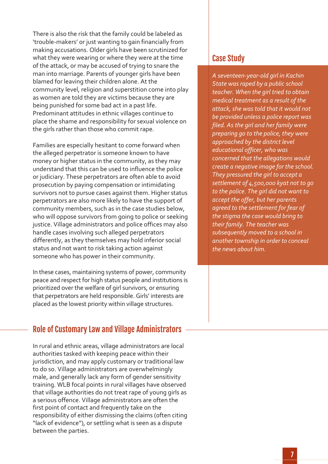There is also the risk that the family could be labeled as 'trouble-makers' or just wanting to gain financially from making accusations. Older girls have been scrutinized for what they were wearing or where they were at the time of the attack, or may be accused of trying to snare the man into marriage. Parents of younger girls have been blamed for leaving their children alone. At the community level, religion and superstition come into play as women are told they are victims because they are being punished for some bad act in a past life. Predominant attitudes in ethnic villages continue to place the shame and responsibility for sexual violence on the girls rather than those who commit rape.

Families are especially hesitant to come forward when the alleged perpetrator is someone known to have money or higher status in the community, as they may understand that this can be used to influence the police or judiciary. These perpetrators are often able to avoid prosecution by paying compensation or intimidating survivors not to pursue cases against them. Higher status perpetrators are also more likely to have the support of community members, such as in the case studies below, who will oppose survivors from going to police or seeking justice. Village administrators and police offices may also handle cases involving such alleged perpetrators differently, as they themselves may hold inferior social status and not want to risk taking action against someone who has power in their community.

In these cases, maintaining systems of power, community peace and respect for high status people and institutions is prioritized over the welfare of girl survivors, or ensuring that perpetrators are held responsible. Girls' interests are placed as the lowest priority within village structures.

#### Role of Customary Law and Village Administrators

In rural and ethnic areas, village administrators are local authorities tasked with keeping peace within their jurisdiction, and may apply customary or traditional law to do so. Village administrators are overwhelmingly male, and generally lack any form of gender sensitivity training. WLB focal points in rural villages have observed that village authorities do not treat rape of young girls as a serious offence. Village administrators are often the first point of contact and frequently take on the responsibility of either dismissing the claims (often citing "lack of evidence"), or settling what is seen as a dispute between the parties.

#### Case Study

*A seventeen-year-old girl in Kachin State was raped by a public school teacher. When the girl tried to obtain medical treatment as a result of the attack, she was told that it would not be provided unless a police report was filed. As the girl and her family were preparing go to the police, they were approached by the district level educational officer, who was concerned that the allegations would create a negative image for the school. They pressured the girl to accept a settlement of 4,500,000 kyat not to go to the police. The girl did not want to accept the offer, but her parents agreed to the settlement for fear of the stigma the case would bring to their family. The teacher was subsequently moved to a school in another township in order to conceal the news about him.*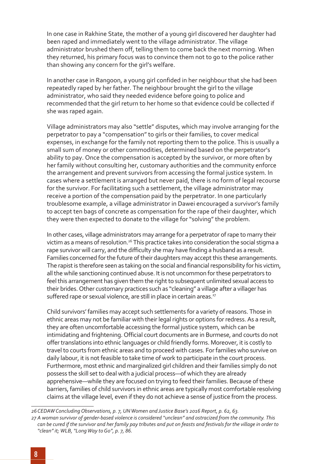In one case in Rakhine State, the mother of a young girl discovered her daughter had been raped and immediately went to the village administrator. The village administrator brushed them off, telling them to come back the next morning. When they returned, his primary focus was to convince them not to go to the police rather than showing any concern for the girl's welfare.

In another case in Rangoon, a young girl confided in her neighbour that she had been repeatedly raped by her father. The neighbour brought the girl to the village administrator, who said they needed evidence before going to police and recommended that the girl return to her home so that evidence could be collected if she was raped again.

Village administrators may also "settle" disputes, which may involve arranging for the perpetrator to pay a "compensation" to girls or their families, to cover medical expenses, in exchange for the family not reporting them to the police. This is usually a small sum of money or other commodities, determined based on the perpetrator's ability to pay. Once the compensation is accepted by the survivor, or more often by her family without consulting her, customary authorities and the community enforce the arrangement and prevent survivors from accessing the formal justice system. In cases where a settlement is arranged but never paid, there is no form of legal recourse for the survivor. For facilitating such a settlement, the village administrator may receive a portion of the compensation paid by the perpetrator. In one particularly troublesome example, a village administrator in Dawei encouraged a survivor's family to accept ten bags of concrete as compensation for the rape of their daughter, which they were then expected to donate to the village for "solving" the problem.

In other cases, village administrators may arrange for a perpetrator of rape to marry their victim as a means of resolution.<sup>26</sup> This practice takes into consideration the social stigma a rape survivor will carry, and the difficulty she may have finding a husband as a result. Families concerned for the future of their daughters may accept this these arrangements. The rapist is therefore seen as taking on the social and financial responsibility for his victim, all the while sanctioning continued abuse. It is not uncommon for these perpetrators to feel this arrangement has given them the right to subsequent unlimited sexual access to their brides. Other customary practices such as "cleaning" a village after a villager has suffered rape or sexual violence, are still in place in certain areas.<sup>27</sup>

Child survivors' families may accept such settlements for a variety of reasons. Those in ethnic areas may not be familiar with their legal rights or options for redress. As a result, they are often uncomfortable accessing the formal justice system, which can be intimidating and frightening. Official court documents are in Burmese, and courts do not offer translations into ethnic languages or child friendly forms. Moreover, it is costly to travel to courts from ethnic areas and to proceed with cases. For families who survive on daily labour, it is not feasible to take time of work to participate in the court process. Furthermore, most ethnic and marginalized girl children and their families simply do not possess the skill set to deal with a judicial process—of which they are already apprehensive—while they are focused on trying to feed their families. Because of these barriers, families of child survivors in ethnic areas are typically most comfortable resolving claims at the village level, even if they do not achieve a sense of justice from the process.

*<sup>26</sup> CEDAW ConcludingObservations, p. 7, UNWomen and Justice Base's 2016 Report, p. 62, 63.*

*<sup>27</sup> A woman survivor of gender-based violence is considered "unclean" and ostracized from the community. This can be cured if the survivor and her family pay tributes and put on feasts and festivals for the village in order to "clean" it; WLB, "LongWay toGo", p. 7, 86.*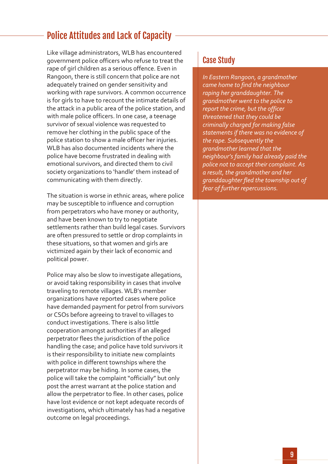# Police Attitudes and Lack of Capacity

Like village administrators, WLB has encountered government police officers who refuse to treat the rape of girl children as a serious offence. Even in Rangoon, there is still concern that police are not adequately trained on gender sensitivity and working with rape survivors. A common occurrence is for girls to have to recount the intimate details of the attack in a public area of the police station, and with male police officers. In one case, a teenage survivor of sexual violence was requested to remove her clothing in the public space of the police station to show a male officer her injuries. WLB has also documented incidents where the police have become frustrated in dealing with emotional survivors, and directed them to civil society organizations to 'handle' them instead of communicating with them directly.

The situation is worse in ethnic areas, where police may be susceptible to influence and corruption from perpetrators who have money or authority, and have been known to try to negotiate settlements rather than build legal cases. Survivors are often pressured to settle or drop complaints in these situations, so that women and girls are victimized again by their lack of economic and political power.

Police may also be slow to investigate allegations, or avoid taking responsibility in cases that involve traveling to remote villages. WLB's member organizations have reported cases where police have demanded payment for petrol from survivors or CSOs before agreeing to travel to villages to conduct investigations. There is also little cooperation amongst authorities if an alleged perpetrator flees the jurisdiction of the police handling the case; and police have told survivors it is their responsibility to initiate new complaints with police in different townships where the perpetrator may be hiding. In some cases, the police will take the complaint "officially" but only post the arrest warrant at the police station and allow the perpetrator to flee. In other cases, police have lost evidence or not kept adequate records of investigations, which ultimately has had a negative outcome on legal proceedings.

#### Case Study

*In Eastern Rangoon, a grandmother came home to find the neighbour raping her granddaughter. The grandmother went to the police to report the crime, but the officer threatened that they could be criminally charged for making false statements if there was no evidence of the rape. Subsequently the grandmother learned that the neighbour's family had already paid the police not to accept their complaint. As a result, the grandmother and her granddaughter fled the township out of fear of further repercussions.*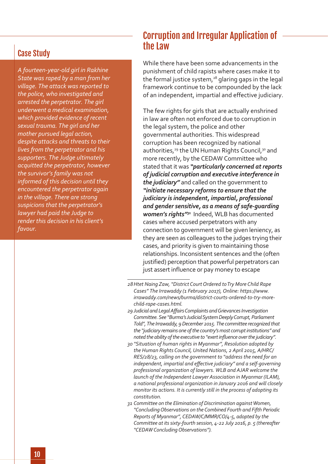#### Case Study

*A fourteen-year-old girl in Rakhine State was raped by a man from her village. The attack was reported to the police, who investigated and arrested the perpetrator. The girl underwent a medical examination, which provided evidence of recent sexual trauma. The girl and her mother pursued legal action, despite attacks and threats to their lives from the perpetrator and his supporters. The Judge ultimately acquitted the perpetrator, however the survivor's family was not informed of this decision until they encountered the perpetrator again in the village. There are strong suspicions that the perpetrator's lawyer had paid the Judge to render this decision in his client's favour.*

# Corruption and Irregular Application of the Law

While there have been some advancements in the punishment of child rapists where cases make it to the formal justice system, $28$  glaring gaps in the legal framework continue to be compounded by the lack of an independent, impartial and effective judiciary.

The few rights for girls that are actually enshrined in law are often not enforced due to corruption in the legal system, the police and other governmental authorities. This widespread corruption has been recognized by national authorities,<sup>29</sup> the UN Human Rights Council,<sup>30</sup> and more recently, by the CEDAW Committee who stated that it was *"particularly concerned at reports of judicial corruption and executive interference in the judiciary"* and called on the government to *"initiate necessary reforms to ensure that the judiciary is independent, impartial, professional and gender sensitive, as a means of safe-guarding women's rights"31* Indeed, WLB has documented cases where accused perpetrators with any connection to government will be given leniency, as they are seen as colleagues to the judges trying their cases, and priority is given to maintaining those relationships. Inconsistent sentences and the (often justified) perception that powerful perpetrators can just assert influence or pay money to escape

- *28Htet Naing Zaw, "District Court Ordered to Try More Child Rape Cases" The Irrawaddy (1 February 2017), Online: https://www. irrawaddy.com/news/burma/district-courts-ordered-to-try-morechild-rape-cases.html.*
- *29 Judicial and LegalAffairsComplaints andGrievancesInvestigation Committee. See "Burma's Judicial System Deeply Corrupt, Parliament Told", The Irrawaddy, 9 December 2015. The committee recognized that the "judiciary remains one of the country's most corrupt institutions" and noted* the *ability* of the executive to "exert influence over the judiciary".
- *30 "Situation of human rights in Myanmar", Resolution adopted by the Human Rights Council, United Nations, 2 April 2015, A/HRC/ RES/28/23, calling on the government to "address the need for an independent, impartial and effective judiciary" and a self-governing professional organization of lawyers. WLB and AJAR welcome the launch of the Independent Lawyer Association in Myanmar (ILAM), a national professional organization in January 2016 and will closely monitor its actions. It is currently still in the process of adopting its constitution.*
- *31 Committee on the Elimination of Discrimination against Women, "Concluding Observations on the Combined Fourth and Fifth Periodic Reports of Myanmar", CEDAW/C/MMR/CO/4-5, adopted by the Committee at its sixty-fourth session, 4-22 July 2016, p. 5 (thereafter "CEDAW Concluding Observations").*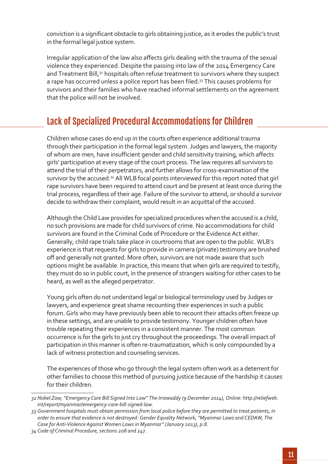conviction is a significant obstacle to girls obtaining justice, as it erodes the public's trust in the formal legal justice system.

Irregular application of the law also affects girls dealing with the trauma of the sexual violence they experienced. Despite the passing into law of the 2014 Emergency Care and Treatment Bill,<sup>32</sup> hospitals often refuse treatment to survivors where they suspect a rape has occurred unless a police report has been filed.<sup>33</sup> This causes problems for survivors and their families who have reached informal settlements on the agreement that the police will not be involved.

# Lack of Specialized Procedural Accommodations for Children

Children whose cases do end up in the courts often experience additional trauma through their participation in the formal legal system. Judges and lawyers, the majority of whom are men, have insufficient gender and child sensitivity training, which affects girls' participation at every stage of the court process. The law requires all survivors to attend the trial of their perpetrators, and further allows for cross-examination of the survivor by the accused.<sup>34</sup> All WLB focal points interviewed for this report noted that girl rape survivors have been required to attend court and be present at least once during the trial process, regardless of their age. Failure of the survivor to attend, or should a survivor decide to withdraw their complaint, would result in an acquittal of the accused.

Although the Child Law provides for specialized procedures when the accused is a child, no such provisions are made for child survivors of crime. No accommodations for child survivors are found in the Criminal Code of Procedure or the Evidence Act either. Generally, child rape trials take place in courtrooms that are open to the public. WLB's experience is that requests for girls to provide in camera (private) testimony are brushed off and generally not granted. More often, survivors are not made aware that such options might be available. In practice, this means that when girls are required to testify, they must do so in public court, in the presence of strangers waiting for other cases to be heard, as well as the alleged perpetrator.

Young girls often do not understand legal or biological terminology used by Judges or lawyers, and experience great shame recounting their experiences in such a public forum. Girls who may have previously been able to recount their attacks often freeze up in these settings, and are unable to provide testimony. Younger children often have trouble repeating their experiences in a consistent manner. The most common occurrence is for the girls to just cry throughout the proceedings. The overall impact of participation in this manner is often re-traumatization, which is only compounded by a lack of witness protection and counseling services.

The experiences of those who go through the legal system often work as a deterrent for other families to choose this method of pursuing justice because of the hardship it causes for their children.

*<sup>32</sup> Nobel Zaw, "Emergency Care Bill Signed Into Law" The Irrawaddy (9 December 2014), Online: http://reliefweb. int/report/myanmar/emergency-care-bill-signed-law.* 

*<sup>33</sup> Government hospitals must obtain permission from local police before they are permitted to treat patients, in order to ensure that evidence is not destroyed: Gender Equality Network, "Myanmar Laws and CEDAW, The Case for Anti-Violence Against Women Laws in Myanmar" (January 2013), p.8.*

*<sup>34</sup> Code of Criminal Procedure, sections 208 and 247.*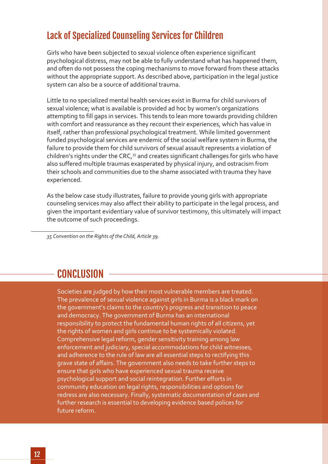# Lack of Specialized Counseling Services for Children

Girls who have been subjected to sexual violence often experience significant psychological distress, may not be able to fully understand what has happened them, and often do not possess the coping mechanisms to move forward from these attacks without the appropriate support. As described above, participation in the legal justice system can also be a source of additional trauma.

Little to no specialized mental health services exist in Burma for child survivors of sexual violence; what is available is provided ad hoc by women's organizations attempting to fill gaps in services. This tends to lean more towards providing children with comfort and reassurance as they recount their experiences, which has value in itself, rather than professional psychological treatment. While limited government funded psychological services are endemic of the social welfare system in Burma, the failure to provide them for child survivors of sexual assault represents a violation of children's rights under the CRC,<sup>35</sup> and creates significant challenges for girls who have also suffered multiple traumas exasperated by physical injury, and ostracism from their schools and communities due to the shame associated with trauma they have experienced.

As the below case study illustrates, failure to provide young girls with appropriate counseling services may also affect their ability to participate in the legal process, and given the important evidentiary value of survivor testimony, this ultimately will impact the outcome of such proceedings.

*35 Convention on the Rights of the Child, Article 39.*

# CONCLUSION

Societies are judged by how their most vulnerable members are treated. The prevalence of sexual violence against girls in Burma is a black mark on the government's claims to the country's progress and transition to peace and democracy. The government of Burma has an international responsibility to protect the fundamental human rights of all citizens, yet the rights of women and girls continue to be systemically violated. Comprehensive legal reform, gender sensitivity training among law enforcement and judiciary, special accommodations for child witnesses, and adherence to the rule of law are all essential steps to rectifying this grave state of affairs. The government also needs to take further steps to ensure that girls who have experienced sexual trauma receive psychological support and social reintegration. Further efforts in community education on legal rights, responsibilities and options for redress are also necessary. Finally, systematic documentation of cases and further research is essential to developing evidence based polices for future reform.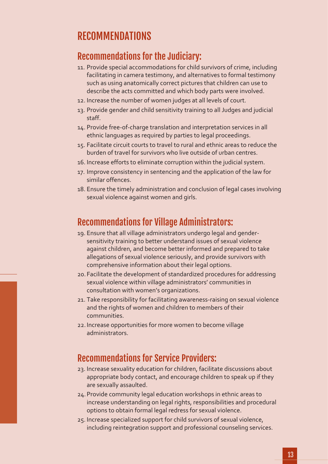# RECOMMENDATIONS

#### Recommendations for the Judiciary:

- 11. Provide special accommodations for child survivors of crime, including facilitating in camera testimony, and alternatives to formal testimony such as using anatomically correct pictures that children can use to describe the acts committed and which body parts were involved.
- 12. Increase the number of women judges at all levels of court.
- 13. Provide gender and child sensitivity training to all Judges and judicial staff.
- 14. Provide free-of-charge translation and interpretation services in all ethnic languages as required by parties to legal proceedings.
- 15. Facilitate circuit courts to travel to rural and ethnic areas to reduce the burden of travel for survivors who live outside of urban centres.
- 16. Increase efforts to eliminate corruption within the judicial system.
- 17. Improve consistency in sentencing and the application of the law for similar offences.
- 18. Ensure the timely administration and conclusion of legal cases involving sexual violence against women and girls.

#### Recommendations for Village Administrators:

- 19. Ensure that all village administrators undergo legal and gendersensitivity training to better understand issues of sexual violence against children, and become better informed and prepared to take allegations of sexual violence seriously, and provide survivors with comprehensive information about their legal options.
- 20. Facilitate the development of standardized procedures for addressing sexual violence within village administrators' communities in consultation with women's organizations.
- 21. Take responsibility for facilitating awareness-raising on sexual violence and the rights of women and children to members of their communities.
- 22.Increase opportunities for more women to become village administrators.

## Recommendations for Service Providers:

- 23. Increase sexuality education for children, facilitate discussions about appropriate body contact, and encourage children to speak up if they are sexually assaulted.
- 24.Provide community legal education workshops in ethnic areas to increase understanding on legal rights, responsibilities and procedural options to obtain formal legal redress for sexual violence.
- 25. Increase specialized support for child survivors of sexual violence, including reintegration support and professional counseling services.